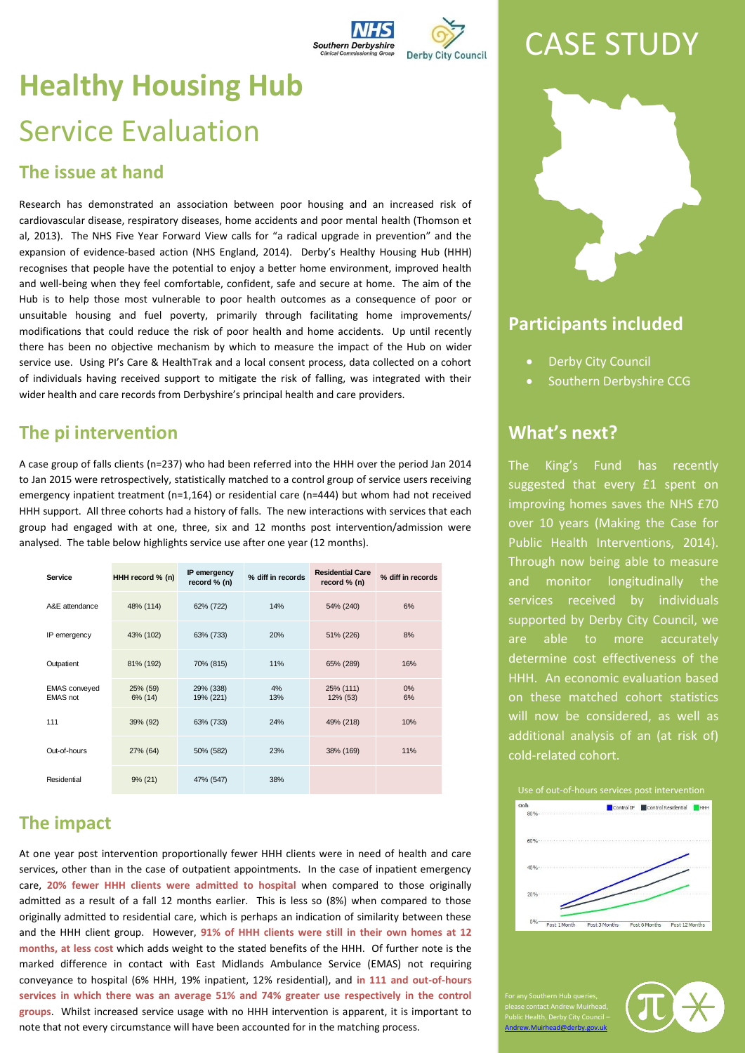| <b>Southern Derbyshire</b><br><b>Clinical Commissioning Group</b> | <b>Derby City Council</b> |
|-------------------------------------------------------------------|---------------------------|

## CASE STUDY

# **Healthy Housing Hub** Service Evaluation

#### **The issue at hand**

Research has demonstrated an association between poor housing and an increased risk of cardiovascular disease, respiratory diseases, home accidents and poor mental health (Thomson et al, 2013). The NHS Five Year Forward View calls for "a radical upgrade in prevention" and the expansion of evidence-based action (NHS England, 2014). Derby's Healthy Housing Hub (HHH) recognises that people have the potential to enjoy a better home environment, improved health and well-being when they feel comfortable, confident, safe and secure at home. The aim of the Hub is to help those most vulnerable to poor health outcomes as a consequence of poor or unsuitable housing and fuel poverty, primarily through facilitating home improvements/ modifications that could reduce the risk of poor health and home accidents. Up until recently there has been no objective mechanism by which to measure the impact of the Hub on wider service use. Using PI's Care & HealthTrak and a local consent process, data collected on a cohort of individuals having received support to mitigate the risk of falling, was integrated with their wider health and care records from Derbyshire's principal health and care providers.

## **The pi intervention**

A case group of falls clients (n=237) who had been referred into the HHH over the period Jan 2014 to Jan 2015 were retrospectively, statistically matched to a control group of service users receiving emergency inpatient treatment (n=1,164) or residential care (n=444) but whom had not received HHH support. All three cohorts had a history of falls. The new interactions with services that each group had engaged with at one, three, six and 12 months post intervention/admission were analysed. The table below highlights service use after one year (12 months).

| Service                                 | HHH record % (n)    | IP emergency<br>record % (n) | % diff in records | <b>Residential Care</b><br>record % (n) | % diff in records |
|-----------------------------------------|---------------------|------------------------------|-------------------|-----------------------------------------|-------------------|
| A&E attendance                          | 48% (114)           | 62% (722)                    | 14%               | 54% (240)                               | 6%                |
| IP emergency                            | 43% (102)           | 63% (733)                    | 20%               | 51% (226)                               | 8%                |
| Outpatient                              | 81% (192)           | 70% (815)                    | 11%               | 65% (289)                               | 16%               |
| <b>EMAS</b> conveyed<br><b>EMAS</b> not | 25% (59)<br>6% (14) | 29% (338)<br>19% (221)       | 4%<br>13%         | 25% (111)<br>12% (53)                   | 0%<br>6%          |
| 111                                     | 39% (92)            | 63% (733)                    | 24%               | 49% (218)                               | 10%               |
| Out-of-hours                            | 27% (64)            | 50% (582)                    | 23%               | 38% (169)                               | 11%               |
| Residential                             | $9\% (21)$          | 47% (547)                    | 38%               |                                         |                   |

## **The impact**

At one year post intervention proportionally fewer HHH clients were in need of health and care services, other than in the case of outpatient appointments. In the case of inpatient emergency care, **20% fewer HHH clients were admitted to hospital** when compared to those originally admitted as a result of a fall 12 months earlier. This is less so (8%) when compared to those originally admitted to residential care, which is perhaps an indication of similarity between these and the HHH client group. However, **91% of HHH clients were still in their own homes at 12 months, at less cost** which adds weight to the stated benefits of the HHH. Of further note is the marked difference in contact with East Midlands Ambulance Service (EMAS) not requiring conveyance to hospital (6% HHH, 19% inpatient, 12% residential), and **in 111 and out-of-hours services in which there was an average 51% and 74% greater use respectively in the control groups**. Whilst increased service usage with no HHH intervention is apparent, it is important to note that not every circumstance will have been accounted for in the matching process.



### **Participants included**

- Derby City Council
- Southern Derbyshire CCG

#### **What's next?**

The King's Fund has recently suggested that every £1 spent on improving homes saves the NHS £70 over 10 years (Making the Case for Public Health Interventions, 2014). Through now being able to measure and monitor longitudinally the services received by individuals supported by Derby City Council, we are able to more accurately determine cost effectiveness of the HHH. An economic evaluation based on these matched cohort statistics will now be considered, as well as additional analysis of an (at risk of) cold-related cohort.



please contact Andrew Muirhead, Public Health, Derby City Council – [Andrew.Muirhead@derby.gov.uk](mailto:Andrew.Muirhead@derby.gov.uk)